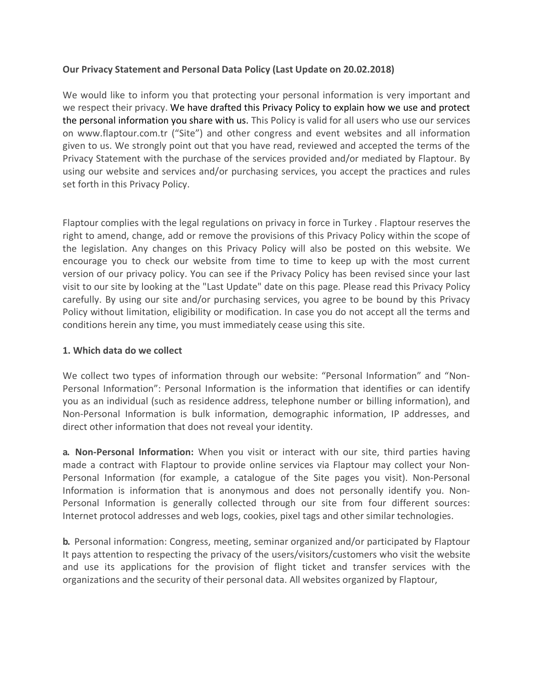### **Our Privacy Statement and Personal Data Policy (Last Update on 20.02.2018)**

We would like to inform you that protecting your personal information is very important and we respect their privacy. We have drafted this Privacy Policy to explain how we use and protect the personal information you share with us. This Policy is valid for all users who use our services on www.flaptour.com.tr ("Site") and other congress and event websites and all information given to us. We strongly point out that you have read, reviewed and accepted the terms of the Privacy Statement with the purchase of the services provided and/or mediated by Flaptour. By using our website and services and/or purchasing services, you accept the practices and rules set forth in this Privacy Policy.

Flaptour complies with the legal regulations on privacy in force in Turkey . Flaptour reserves the right to amend, change, add or remove the provisions of this Privacy Policy within the scope of the legislation. Any changes on this Privacy Policy will also be posted on this website. We encourage you to check our website from time to time to keep up with the most current version of our privacy policy. You can see if the Privacy Policy has been revised since your last visit to our site by looking at the "Last Update" date on this page. Please read this Privacy Policy carefully. By using our site and/or purchasing services, you agree to be bound by this Privacy Policy without limitation, eligibility or modification. In case you do not accept all the terms and conditions herein any time, you must immediately cease using this site.

#### **1. Which data do we collect**

We collect two types of information through our website: "Personal Information" and "Non-Personal Information": Personal Information is the information that identifies or can identify you as an individual (such as residence address, telephone number or billing information), and Non-Personal Information is bulk information, demographic information, IP addresses, and direct other information that does not reveal your identity.

**a. Non-Personal Information:** When you visit or interact with our site, third parties having made a contract with Flaptour to provide online services via Flaptour may collect your Non-Personal Information (for example, a catalogue of the Site pages you visit). Non-Personal Information is information that is anonymous and does not personally identify you. Non-Personal Information is generally collected through our site from four different sources: Internet protocol addresses and web logs, cookies, pixel tags and other similar technologies.

**b.** Personal information: Congress, meeting, seminar organized and/or participated by Flaptour It pays attention to respecting the privacy of the users/visitors/customers who visit the website and use its applications for the provision of flight ticket and transfer services with the organizations and the security of their personal data. All websites organized by Flaptour,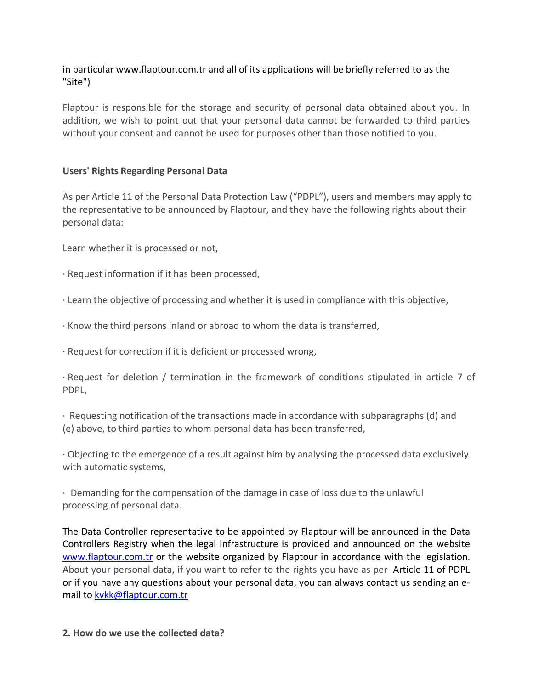# in particular www.flaptour.com.tr and all of its applications will be briefly referred to as the "Site")

Flaptour is responsible for the storage and security of personal data obtained about you. In addition, we wish to point out that your personal data cannot be forwarded to third parties without your consent and cannot be used for purposes other than those notified to you.

### **Users' Rights Regarding Personal Data**

As per Article 11 of the Personal Data Protection Law ("PDPL"), users and members may apply to the representative to be announced by Flaptour, and they have the following rights about their personal data:

Learn whether it is processed or not,

- · Request information if it has been processed,
- · Learn the objective of processing and whether it is used in compliance with this objective,
- · Know the third persons inland or abroad to whom the data is transferred,
- · Request for correction if it is deficient or processed wrong,

· Request for deletion / termination in the framework of conditions stipulated in article 7 of PDPL,

· Requesting notification of the transactions made in accordance with subparagraphs (d) and (e) above, to third parties to whom personal data has been transferred,

· Objecting to the emergence of a result against him by analysing the processed data exclusively with automatic systems,

· Demanding for the compensation of the damage in case of loss due to the unlawful processing of personal data.

The Data Controller representative to be appointed by Flaptour will be announced in the Data Controllers Registry when the legal infrastructure is provided and announced on the website www.flaptour.com.tr or the website organized by Flaptour in accordance with the legislation. About your personal data, if you want to refer to the rights you have as per Article 11 of PDPL or if you have any questions about your personal data, you can always contact us sending an email to kvkk@flaptour.com.tr

**2. How do we use the collected data?**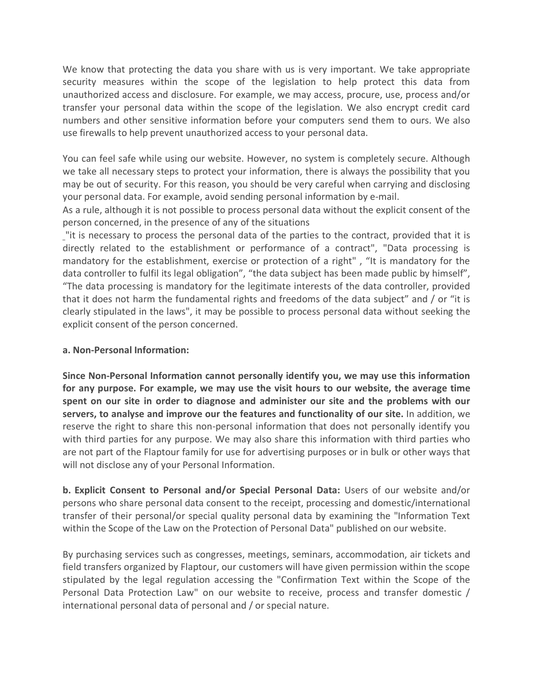We know that protecting the data you share with us is very important. We take appropriate security measures within the scope of the legislation to help protect this data from unauthorized access and disclosure. For example, we may access, procure, use, process and/or transfer your personal data within the scope of the legislation. We also encrypt credit card numbers and other sensitive information before your computers send them to ours. We also use firewalls to help prevent unauthorized access to your personal data.

You can feel safe while using our website. However, no system is completely secure. Although we take all necessary steps to protect your information, there is always the possibility that you may be out of security. For this reason, you should be very careful when carrying and disclosing your personal data. For example, avoid sending personal information by e-mail.

As a rule, although it is not possible to process personal data without the explicit consent of the person concerned, in the presence of any of the situations

"it is necessary to process the personal data of the parties to the contract, provided that it is directly related to the establishment or performance of a contract", "Data processing is mandatory for the establishment, exercise or protection of a right" , "It is mandatory for the data controller to fulfil its legal obligation", "the data subject has been made public by himself", "The data processing is mandatory for the legitimate interests of the data controller, provided that it does not harm the fundamental rights and freedoms of the data subject" and / or "it is clearly stipulated in the laws", it may be possible to process personal data without seeking the explicit consent of the person concerned.

#### **a. Non-Personal Information:**

**Since Non-Personal Information cannot personally identify you, we may use this information for any purpose. For example, we may use the visit hours to our website, the average time spent on our site in order to diagnose and administer our site and the problems with our servers, to analyse and improve our the features and functionality of our site.** In addition, we reserve the right to share this non-personal information that does not personally identify you with third parties for any purpose. We may also share this information with third parties who are not part of the Flaptour family for use for advertising purposes or in bulk or other ways that will not disclose any of your Personal Information.

**b. Explicit Consent to Personal and/or Special Personal Data:** Users of our website and/or persons who share personal data consent to the receipt, processing and domestic/international transfer of their personal/or special quality personal data by examining the "Information Text within the Scope of the Law on the Protection of Personal Data" published on our website.

By purchasing services such as congresses, meetings, seminars, accommodation, air tickets and field transfers organized by Flaptour, our customers will have given permission within the scope stipulated by the legal regulation accessing the "Confirmation Text within the Scope of the Personal Data Protection Law" on our website to receive, process and transfer domestic / international personal data of personal and / or special nature.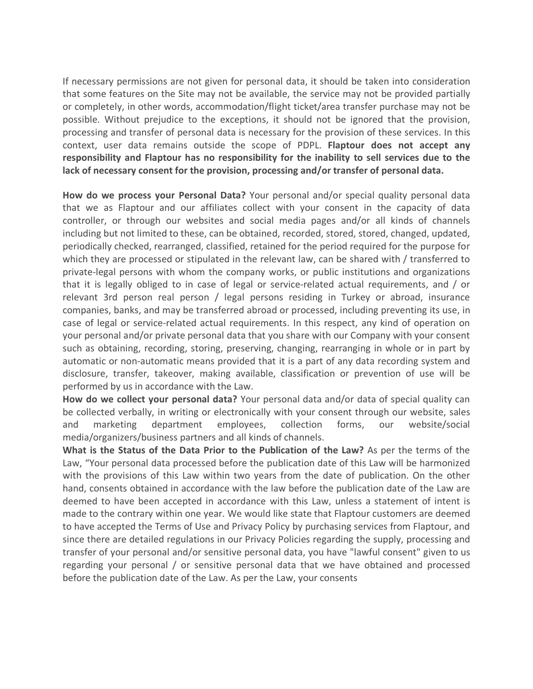If necessary permissions are not given for personal data, it should be taken into consideration that some features on the Site may not be available, the service may not be provided partially or completely, in other words, accommodation/flight ticket/area transfer purchase may not be possible. Without prejudice to the exceptions, it should not be ignored that the provision, processing and transfer of personal data is necessary for the provision of these services. In this context, user data remains outside the scope of PDPL. **Flaptour does not accept any responsibility and Flaptour has no responsibility for the inability to sell services due to the lack of necessary consent for the provision, processing and/or transfer of personal data.**

**How do we process your Personal Data?** Your personal and/or special quality personal data that we as Flaptour and our affiliates collect with your consent in the capacity of data controller, or through our websites and social media pages and/or all kinds of channels including but not limited to these, can be obtained, recorded, stored, stored, changed, updated, periodically checked, rearranged, classified, retained for the period required for the purpose for which they are processed or stipulated in the relevant law, can be shared with / transferred to private-legal persons with whom the company works, or public institutions and organizations that it is legally obliged to in case of legal or service-related actual requirements, and / or relevant 3rd person real person / legal persons residing in Turkey or abroad, insurance companies, banks, and may be transferred abroad or processed, including preventing its use, in case of legal or service-related actual requirements. In this respect, any kind of operation on your personal and/or private personal data that you share with our Company with your consent such as obtaining, recording, storing, preserving, changing, rearranging in whole or in part by automatic or non-automatic means provided that it is a part of any data recording system and disclosure, transfer, takeover, making available, classification or prevention of use will be performed by us in accordance with the Law.

**How do we collect your personal data?** Your personal data and/or data of special quality can be collected verbally, in writing or electronically with your consent through our website, sales and marketing department employees, collection forms, our website/social media/organizers/business partners and all kinds of channels.

**What is the Status of the Data Prior to the Publication of the Law?** As per the terms of the Law, "Your personal data processed before the publication date of this Law will be harmonized with the provisions of this Law within two years from the date of publication. On the other hand, consents obtained in accordance with the law before the publication date of the Law are deemed to have been accepted in accordance with this Law, unless a statement of intent is made to the contrary within one year. We would like state that Flaptour customers are deemed to have accepted the Terms of Use and Privacy Policy by purchasing services from Flaptour, and since there are detailed regulations in our Privacy Policies regarding the supply, processing and transfer of your personal and/or sensitive personal data, you have "lawful consent" given to us regarding your personal / or sensitive personal data that we have obtained and processed before the publication date of the Law. As per the Law, your consents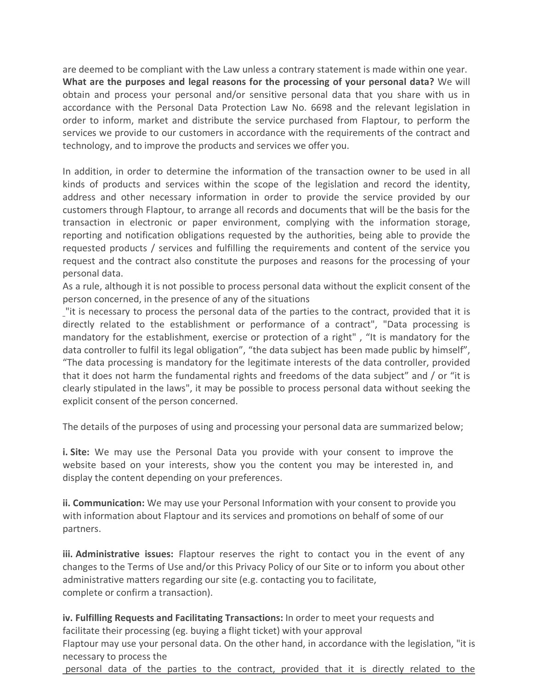are deemed to be compliant with the Law unless a contrary statement is made within one year. **What are the purposes and legal reasons for the processing of your personal data?** We will obtain and process your personal and/or sensitive personal data that you share with us in accordance with the Personal Data Protection Law No. 6698 and the relevant legislation in order to inform, market and distribute the service purchased from Flaptour, to perform the services we provide to our customers in accordance with the requirements of the contract and technology, and to improve the products and services we offer you.

In addition, in order to determine the information of the transaction owner to be used in all kinds of products and services within the scope of the legislation and record the identity, address and other necessary information in order to provide the service provided by our customers through Flaptour, to arrange all records and documents that will be the basis for the transaction in electronic or paper environment, complying with the information storage, reporting and notification obligations requested by the authorities, being able to provide the requested products / services and fulfilling the requirements and content of the service you request and the contract also constitute the purposes and reasons for the processing of your personal data.

As a rule, although it is not possible to process personal data without the explicit consent of the person concerned, in the presence of any of the situations

"it is necessary to process the personal data of the parties to the contract, provided that it is directly related to the establishment or performance of a contract", "Data processing is mandatory for the establishment, exercise or protection of a right" , "It is mandatory for the data controller to fulfil its legal obligation", "the data subject has been made public by himself", "The data processing is mandatory for the legitimate interests of the data controller, provided that it does not harm the fundamental rights and freedoms of the data subject" and / or "it is clearly stipulated in the laws", it may be possible to process personal data without seeking the explicit consent of the person concerned.

The details of the purposes of using and processing your personal data are summarized below;

**i. Site:** We may use the Personal Data you provide with your consent to improve the website based on your interests, show you the content you may be interested in, and display the content depending on your preferences.

**ii. Communication:** We may use your Personal Information with your consent to provide you with information about Flaptour and its services and promotions on behalf of some of our partners.

**iii. Administrative issues:** Flaptour reserves the right to contact you in the event of any changes to the Terms of Use and/or this Privacy Policy of our Site or to inform you about other administrative matters regarding our site (e.g. contacting you to facilitate, complete or confirm a transaction).

**iv. Fulfilling Requests and Facilitating Transactions:** In order to meet your requests and facilitate their processing (eg. buying a flight ticket) with your approval

Flaptour may use your personal data. On the other hand, in accordance with the legislation, "it is necessary to process the

personal data of the parties to the contract, provided that it is directly related to the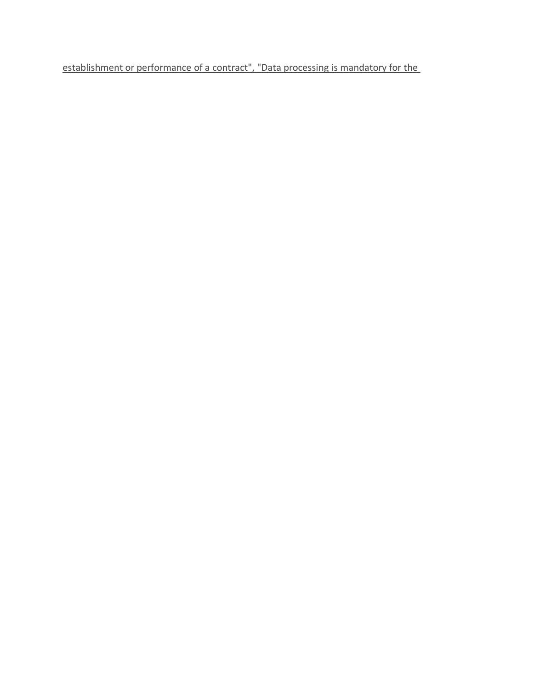establishment or performance of a contract", "Data processing is mandatory for the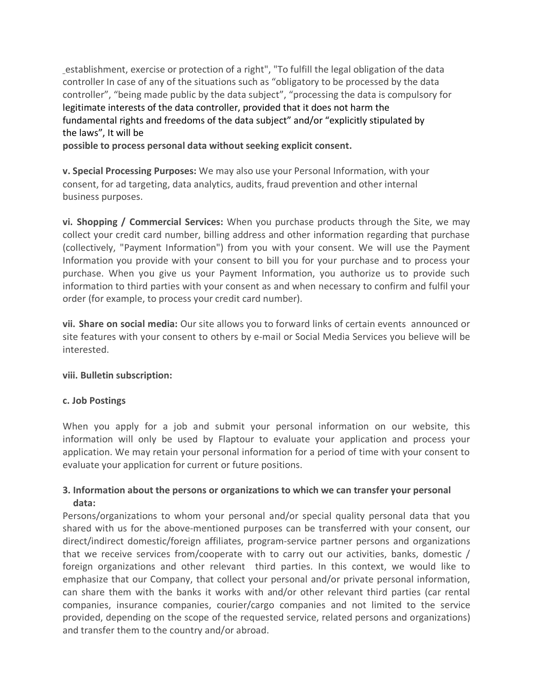establishment, exercise or protection of a right", "To fulfill the legal obligation of the data controller In case of any of the situations such as "obligatory to be processed by the data controller", "being made public by the data subject", "processing the data is compulsory for legitimate interests of the data controller, provided that it does not harm the fundamental rights and freedoms of the data subject" and/or "explicitly stipulated by the laws", It will be

**possible to process personal data without seeking explicit consent.**

**v. Special Processing Purposes:** We may also use your Personal Information, with your consent, for ad targeting, data analytics, audits, fraud prevention and other internal business purposes.

**vi. Shopping / Commercial Services:** When you purchase products through the Site, we may collect your credit card number, billing address and other information regarding that purchase (collectively, "Payment Information") from you with your consent. We will use the Payment Information you provide with your consent to bill you for your purchase and to process your purchase. When you give us your Payment Information, you authorize us to provide such information to third parties with your consent as and when necessary to confirm and fulfil your order (for example, to process your credit card number).

**vii. Share on social media:** Our site allows you to forward links of certain events announced or site features with your consent to others by e-mail or Social Media Services you believe will be interested.

#### **viii. Bulletin subscription:**

#### **c. Job Postings**

When you apply for a job and submit your personal information on our website, this information will only be used by Flaptour to evaluate your application and process your application. We may retain your personal information for a period of time with your consent to evaluate your application for current or future positions.

## **3. Information about the persons or organizations to which we can transfer your personal data:**

Persons/organizations to whom your personal and/or special quality personal data that you shared with us for the above-mentioned purposes can be transferred with your consent, our direct/indirect domestic/foreign affiliates, program-service partner persons and organizations that we receive services from/cooperate with to carry out our activities, banks, domestic / foreign organizations and other relevant third parties. In this context, we would like to emphasize that our Company, that collect your personal and/or private personal information, can share them with the banks it works with and/or other relevant third parties (car rental companies, insurance companies, courier/cargo companies and not limited to the service provided, depending on the scope of the requested service, related persons and organizations) and transfer them to the country and/or abroad.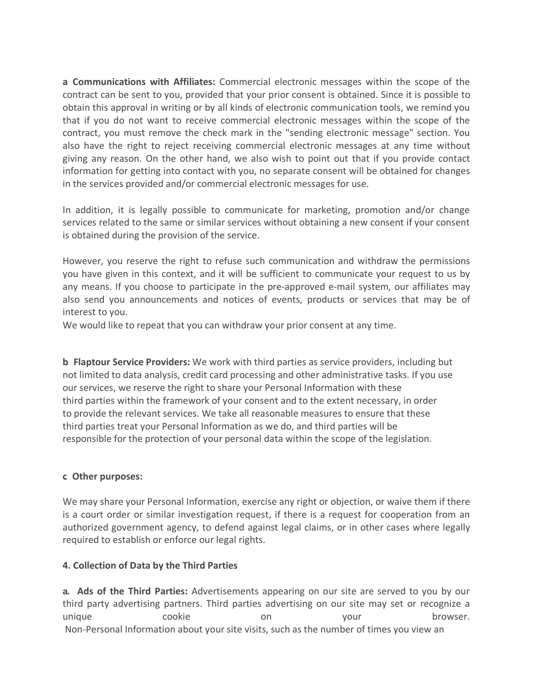**a. Communications with Affiliates:** Commercial electronic messages within the scope of the contract can be sent to you, provided that your prior consent is obtained. Since it is possible to obtain this approval in writing or by all kinds of electronic communication tools, we remind you that if you do not want to receive commercial electronic messages within the scope of the contract, you must remove the check mark in the "sending electronic message" section. You also have the right to reject receiving commercial electronic messages at any time without giving any reason. On the other hand, we also wish to point out that if you provide contact information for getting into contact with you, no separate consent will be obtained for changes in the services provided and/or commercial electronic messages for use.

In addition, it is legally possible to communicate for marketing, promotion and/or change services related to the same or similar services without obtaining a new consent if your consent is obtained during the provision of the service.

However, you reserve the right to refuse such communication and withdraw the permissions you have given in this context, and it will be sufficient to communicate your request to us by any means. If you choose to participate in the pre-approved e-mail system, our affiliates may also send you announcements and notices of events, products or services that may be of interest to you.

We would like to repeat that you can withdraw your prior consent at any time.

**b. Flaptour Service Providers:** We work with third parties as service providers, including but not limited to data analysis, credit card processing and other administrative tasks. If you use our services, we reserve the right to share your Personal Information with these third parties within the framework of your consent and to the extent necessary, in order to provide the relevant services. We take all reasonable measures to ensure that these third parties treat your Personal Information as we do, and third parties will be responsible for the protection of your personal data within the scope of the legislation.

## **c. Other purposes:**

We may share your Personal Information, exercise any right or objection, or waive them if there is a court order or similar investigation request, if there is a request for cooperation from an authorized government agency, to defend against legal claims, or in other cases where legally required to establish or enforce our legal rights.

## **4. Collection of Data by the Third Parties**

**a. Ads of the Third Parties:** Advertisements appearing on our site are served to you by our third party advertising partners. Third parties advertising on our site may set or recognize a unique cookie on your browser. Non-Personal Information about your site visits, such as the number of times you view an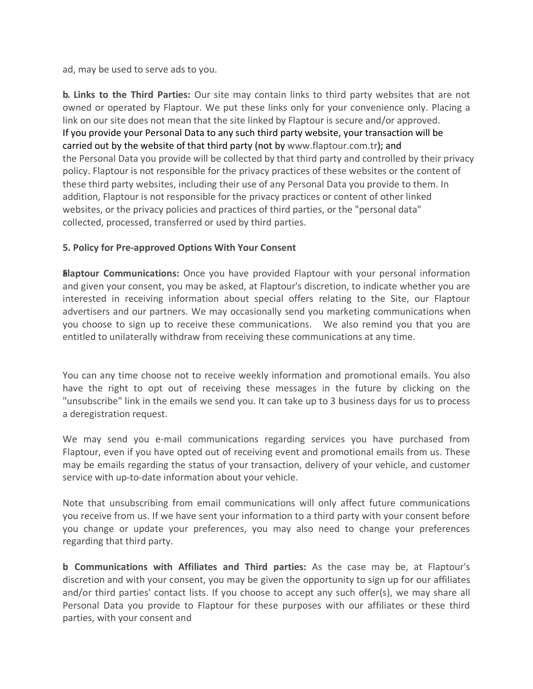ad, may be used to serve ads to you.

**b. Links to the Third Parties:** Our site may contain links to third party websites that are not owned or operated by Flaptour. We put these links only for your convenience only. Placing a link on our site does not mean that the site linked by Flaptour is secure and/or approved. If you provide your Personal Data to any such third party website, your transaction will be carried out by the website of that third party (not by www.flaptour.com.tr); and the Personal Data you provide will be collected by that third party and controlled by their privacy policy. Flaptour is not responsible for the privacy practices of these websites or the content of these third party websites, including their use of any Personal Data you provide to them. In addition, Flaptour is not responsible for the privacy practices or content of other linked websites, or the privacy policies and practices of third parties, or the "personal data" collected, processed, transferred or used by third parties.

### **5. Policy for Pre-approved Options With Your Consent**

**Elaptour Communications:** Once you have provided Flaptour with your personal information and given your consent, you may be asked, at Flaptour's discretion, to indicate whether you are interested in receiving information about special offers relating to the Site, our Flaptour advertisers and our partners. We may occasionally send you marketing communications when you choose to sign up to receive these communications. We also remind you that you are entitled to unilaterally withdraw from receiving these communications at any time.

You can any time choose not to receive weekly information and promotional emails. You also have the right to opt out of receiving these messages in the future by clicking on the "unsubscribe" link in the emails we send you. It can take up to 3 business days for us to process a deregistration request.

We may send you e-mail communications regarding services you have purchased from Flaptour, even if you have opted out of receiving event and promotional emails from us. These may be emails regarding the status of your transaction, delivery of your vehicle, and customer service with up-to-date information about your vehicle.

Note that unsubscribing from email communications will only affect future communications you receive from us. If we have sent your information to a third party with your consent before you change or update your preferences, you may also need to change your preferences regarding that third party.

**b. Communications with Affiliates and Third parties:** As the case may be, at Flaptour's discretion and with your consent, you may be given the opportunity to sign up for our affiliates and/or third parties' contact lists. If you choose to accept any such offer(s), we may share all Personal Data you provide to Flaptour for these purposes with our affiliates or these third parties, with your consent and